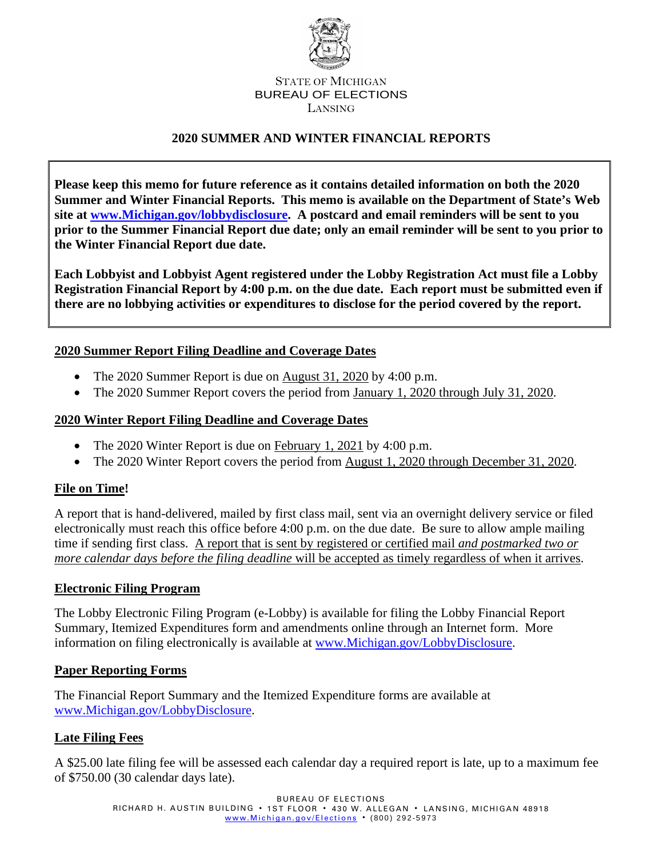

#### STATE OF MICHIGAN BUREAU OF ELECTIONS LANSING

## **2020 SUMMER AND WINTER FINANCIAL REPORTS**

**Please keep this memo for future reference as it contains detailed information on both the 2020 Summer and Winter Financial Reports. This memo is available on the Department of State's Web site at www.Michigan.gov/lobbydisclosure. A postcard and email reminders will be sent to you prior to the Summer Financial Report due date; only an email reminder will be sent to you prior to the Winter Financial Report due date.**

**Each Lobbyist and Lobbyist Agent registered under the Lobby Registration Act must file a Lobby Registration Financial Report by 4:00 p.m. on the due date. Each report must be submitted even if there are no lobbying activities or expenditures to disclose for the period covered by the report.** 

### **2020 Summer Report Filing Deadline and Coverage Dates**

- The 2020 Summer Report is due on August 31, 2020 by 4:00 p.m.
- The 2020 Summer Report covers the period from January 1, 2020 through July 31, 2020.

### **2020 Winter Report Filing Deadline and Coverage Dates**

- The 2020 Winter Report is due on February 1, 2021 by 4:00 p.m.
- The 2020 Winter Report covers the period from August 1, 2020 through December 31, 2020.

### **File on Time!**

A report that is hand-delivered, mailed by first class mail, sent via an overnight delivery service or filed electronically must reach this office before 4:00 p.m. on the due date. Be sure to allow ample mailing time if sending first class. A report that is sent by registered or certified mail *and postmarked two or more calendar days before the filing deadline* will be accepted as timely regardless of when it arrives.

### **Electronic Filing Program**

The Lobby Electronic Filing Program (e-Lobby) is available for filing the Lobby Financial Report Summary, Itemized Expenditures form and amendments online through an Internet form. More information on filing electronically is available at [www.Michigan.gov/LobbyDisclosure.](http://www.michigan.gov/LobbyDisclosure)

### **Paper Reporting Forms**

The Financial Report Summary and the Itemized Expenditure forms are available at [www.Michigan.gov/LobbyDisclosure.](http://www.michigan.gov/LobbyDisclosure)

## **Late Filing Fees**

A \$25.00 late filing fee will be assessed each calendar day a required report is late, up to a maximum fee of \$750.00 (30 calendar days late).